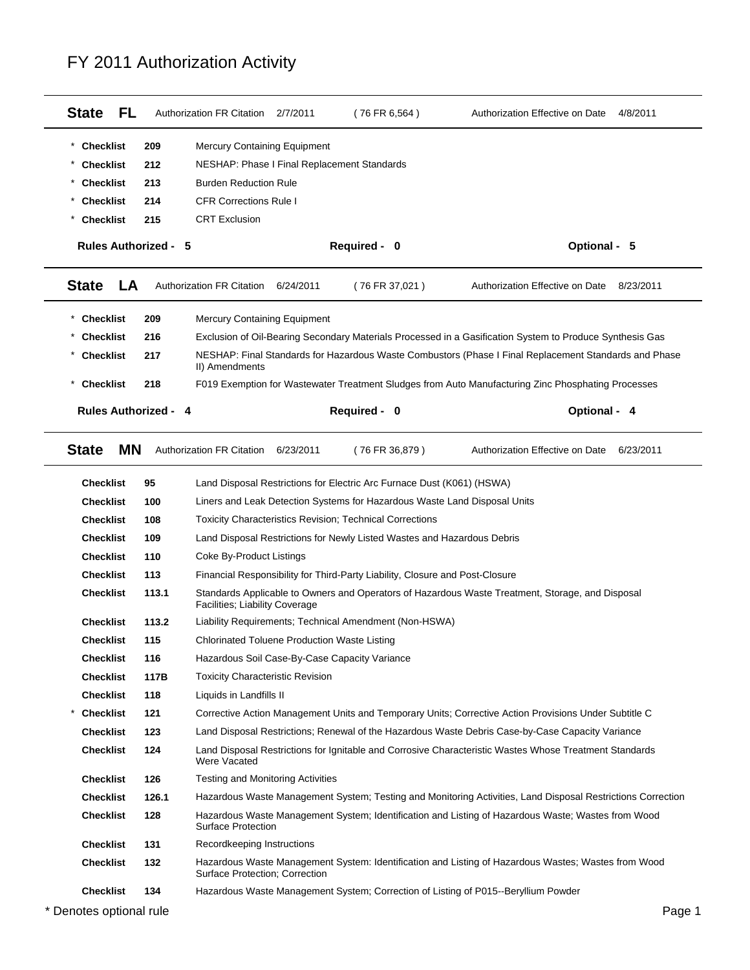| <b>State</b><br>FL.         |       | Authorization FR Citation 2/7/2011                                      | $(76$ FR 6,564)                                                                                  | Authorization Effective on Date<br>4/8/2011                                                                 |
|-----------------------------|-------|-------------------------------------------------------------------------|--------------------------------------------------------------------------------------------------|-------------------------------------------------------------------------------------------------------------|
| <b>Checklist</b>            | 209   | <b>Mercury Containing Equipment</b>                                     |                                                                                                  |                                                                                                             |
| <b>Checklist</b>            | 212   | NESHAP: Phase I Final Replacement Standards                             |                                                                                                  |                                                                                                             |
| <b>Checklist</b>            | 213   | <b>Burden Reduction Rule</b>                                            |                                                                                                  |                                                                                                             |
| <b>Checklist</b>            | 214   | <b>CFR Corrections Rule I</b>                                           |                                                                                                  |                                                                                                             |
| <b>Checklist</b>            | 215   | <b>CRT Exclusion</b>                                                    |                                                                                                  |                                                                                                             |
| <b>Rules Authorized - 5</b> |       |                                                                         | Required - 0                                                                                     | Optional - 5                                                                                                |
| <b>State</b><br>LA          |       | <b>Authorization FR Citation</b><br>6/24/2011                           | (76 FR 37,021)                                                                                   | Authorization Effective on Date<br>8/23/2011                                                                |
| <b>Checklist</b>            | 209   | <b>Mercury Containing Equipment</b>                                     |                                                                                                  |                                                                                                             |
| <b>Checklist</b>            | 216   |                                                                         |                                                                                                  | Exclusion of Oil-Bearing Secondary Materials Processed in a Gasification System to Produce Synthesis Gas    |
| <b>Checklist</b>            | 217   | II) Amendments                                                          |                                                                                                  | NESHAP: Final Standards for Hazardous Waste Combustors (Phase I Final Replacement Standards and Phase       |
| <b>Checklist</b>            | 218   |                                                                         |                                                                                                  | F019 Exemption for Wastewater Treatment Sludges from Auto Manufacturing Zinc Phosphating Processes          |
| <b>Rules Authorized - 4</b> |       |                                                                         | Required - 0                                                                                     | Optional - 4                                                                                                |
| <b>MN</b><br><b>State</b>   |       | <b>Authorization FR Citation</b><br>6/23/2011                           | (76 FR 36,879)                                                                                   | Authorization Effective on Date<br>6/23/2011                                                                |
| <b>Checklist</b>            | 95    |                                                                         | Land Disposal Restrictions for Electric Arc Furnace Dust (K061) (HSWA)                           |                                                                                                             |
| <b>Checklist</b>            | 100   |                                                                         | Liners and Leak Detection Systems for Hazardous Waste Land Disposal Units                        |                                                                                                             |
| <b>Checklist</b>            | 108   |                                                                         | <b>Toxicity Characteristics Revision; Technical Corrections</b>                                  |                                                                                                             |
| <b>Checklist</b>            | 109   | Land Disposal Restrictions for Newly Listed Wastes and Hazardous Debris |                                                                                                  |                                                                                                             |
| <b>Checklist</b>            | 110   | Coke By-Product Listings                                                |                                                                                                  |                                                                                                             |
| <b>Checklist</b>            | 113   |                                                                         | Financial Responsibility for Third-Party Liability, Closure and Post-Closure                     |                                                                                                             |
| Checklist                   | 113.1 | Facilities; Liability Coverage                                          | Standards Applicable to Owners and Operators of Hazardous Waste Treatment, Storage, and Disposal |                                                                                                             |
|                             |       |                                                                         |                                                                                                  |                                                                                                             |
| <b>Checklist</b>            | 113.2 |                                                                         | Liability Requirements; Technical Amendment (Non-HSWA)                                           |                                                                                                             |
| <b>Checklist</b>            | 115   | <b>Chlorinated Toluene Production Waste Listing</b>                     |                                                                                                  |                                                                                                             |
| <b>Checklist</b>            | 116   | Hazardous Soil Case-By-Case Capacity Variance                           |                                                                                                  |                                                                                                             |
| <b>Checklist</b>            | 117B  | <b>Toxicity Characteristic Revision</b>                                 |                                                                                                  |                                                                                                             |
| <b>Checklist</b>            | 118   | Liquids in Landfills II                                                 |                                                                                                  |                                                                                                             |
| <b>Checklist</b>            | 121   |                                                                         |                                                                                                  | Corrective Action Management Units and Temporary Units; Corrective Action Provisions Under Subtitle C       |
| <b>Checklist</b>            | 123   |                                                                         |                                                                                                  | Land Disposal Restrictions; Renewal of the Hazardous Waste Debris Case-by-Case Capacity Variance            |
| <b>Checklist</b>            | 124   | Were Vacated                                                            |                                                                                                  | Land Disposal Restrictions for Ignitable and Corrosive Characteristic Wastes Whose Treatment Standards      |
| <b>Checklist</b>            | 126   | <b>Testing and Monitoring Activities</b>                                |                                                                                                  |                                                                                                             |
| <b>Checklist</b>            | 126.1 |                                                                         |                                                                                                  | Hazardous Waste Management System; Testing and Monitoring Activities, Land Disposal Restrictions Correction |
| Checklist                   | 128   | <b>Surface Protection</b>                                               |                                                                                                  | Hazardous Waste Management System; Identification and Listing of Hazardous Waste; Wastes from Wood          |
| <b>Checklist</b>            | 131   | Recordkeeping Instructions                                              |                                                                                                  |                                                                                                             |
| <b>Checklist</b>            | 132   | Surface Protection; Correction                                          |                                                                                                  | Hazardous Waste Management System: Identification and Listing of Hazardous Wastes; Wastes from Wood         |
| <b>Checklist</b>            | 134   |                                                                         | Hazardous Waste Management System; Correction of Listing of P015--Beryllium Powder               |                                                                                                             |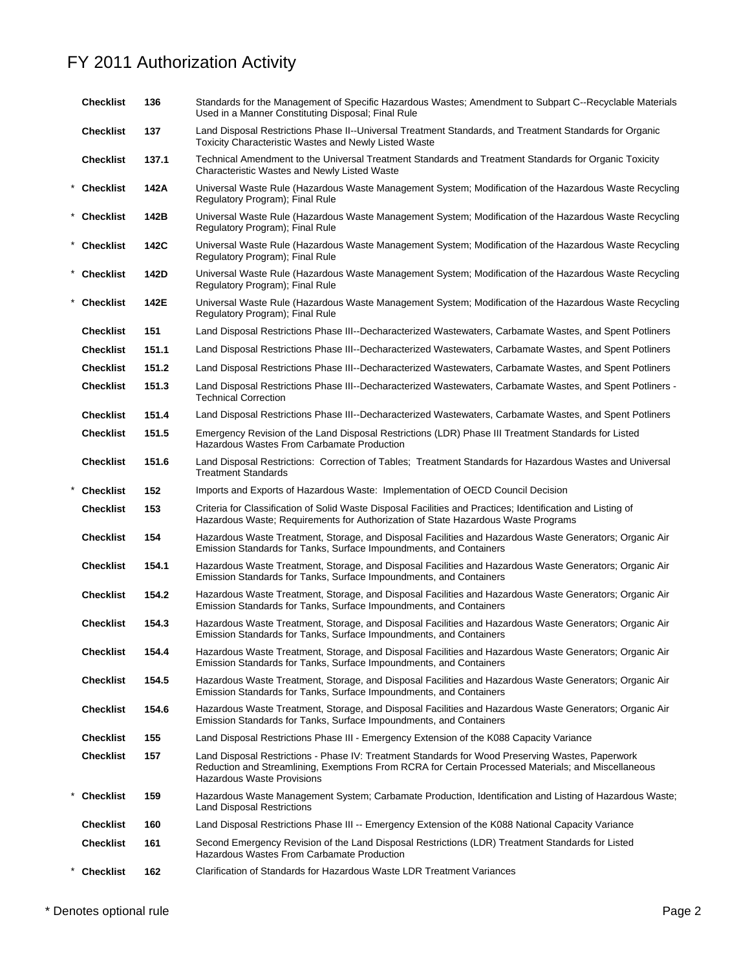|          | <b>Checklist</b> | 136   | Standards for the Management of Specific Hazardous Wastes; Amendment to Subpart C--Recyclable Materials<br>Used in a Manner Constituting Disposal; Final Rule                                                                                |
|----------|------------------|-------|----------------------------------------------------------------------------------------------------------------------------------------------------------------------------------------------------------------------------------------------|
|          | <b>Checklist</b> | 137   | Land Disposal Restrictions Phase II--Universal Treatment Standards, and Treatment Standards for Organic<br><b>Toxicity Characteristic Wastes and Newly Listed Waste</b>                                                                      |
|          | <b>Checklist</b> | 137.1 | Technical Amendment to the Universal Treatment Standards and Treatment Standards for Organic Toxicity<br>Characteristic Wastes and Newly Listed Waste                                                                                        |
|          | * Checklist      | 142A  | Universal Waste Rule (Hazardous Waste Management System; Modification of the Hazardous Waste Recycling<br>Regulatory Program); Final Rule                                                                                                    |
|          | * Checklist      | 142B  | Universal Waste Rule (Hazardous Waste Management System; Modification of the Hazardous Waste Recycling<br>Regulatory Program); Final Rule                                                                                                    |
|          | * Checklist      | 142C  | Universal Waste Rule (Hazardous Waste Management System; Modification of the Hazardous Waste Recycling<br>Regulatory Program); Final Rule                                                                                                    |
|          | * Checklist      | 142D  | Universal Waste Rule (Hazardous Waste Management System; Modification of the Hazardous Waste Recycling<br>Regulatory Program); Final Rule                                                                                                    |
| $^\star$ | <b>Checklist</b> | 142E  | Universal Waste Rule (Hazardous Waste Management System; Modification of the Hazardous Waste Recycling<br>Regulatory Program); Final Rule                                                                                                    |
|          | <b>Checklist</b> | 151   | Land Disposal Restrictions Phase III--Decharacterized Wastewaters, Carbamate Wastes, and Spent Potliners                                                                                                                                     |
|          | <b>Checklist</b> | 151.1 | Land Disposal Restrictions Phase III--Decharacterized Wastewaters, Carbamate Wastes, and Spent Potliners                                                                                                                                     |
|          | <b>Checklist</b> | 151.2 | Land Disposal Restrictions Phase III--Decharacterized Wastewaters, Carbamate Wastes, and Spent Potliners                                                                                                                                     |
|          | <b>Checklist</b> | 151.3 | Land Disposal Restrictions Phase III--Decharacterized Wastewaters, Carbamate Wastes, and Spent Potliners -<br><b>Technical Correction</b>                                                                                                    |
|          | <b>Checklist</b> | 151.4 | Land Disposal Restrictions Phase III--Decharacterized Wastewaters, Carbamate Wastes, and Spent Potliners                                                                                                                                     |
|          | <b>Checklist</b> | 151.5 | Emergency Revision of the Land Disposal Restrictions (LDR) Phase III Treatment Standards for Listed<br>Hazardous Wastes From Carbamate Production                                                                                            |
|          | <b>Checklist</b> | 151.6 | Land Disposal Restrictions: Correction of Tables; Treatment Standards for Hazardous Wastes and Universal<br><b>Treatment Standards</b>                                                                                                       |
|          | <b>Checklist</b> | 152   | Imports and Exports of Hazardous Waste: Implementation of OECD Council Decision                                                                                                                                                              |
|          | <b>Checklist</b> | 153   | Criteria for Classification of Solid Waste Disposal Facilities and Practices; Identification and Listing of<br>Hazardous Waste; Requirements for Authorization of State Hazardous Waste Programs                                             |
|          | <b>Checklist</b> | 154   | Hazardous Waste Treatment, Storage, and Disposal Facilities and Hazardous Waste Generators; Organic Air<br>Emission Standards for Tanks, Surface Impoundments, and Containers                                                                |
|          | <b>Checklist</b> | 154.1 | Hazardous Waste Treatment, Storage, and Disposal Facilities and Hazardous Waste Generators; Organic Air<br>Emission Standards for Tanks, Surface Impoundments, and Containers                                                                |
|          | <b>Checklist</b> | 154.2 | Hazardous Waste Treatment, Storage, and Disposal Facilities and Hazardous Waste Generators; Organic Air<br>Emission Standards for Tanks, Surface Impoundments, and Containers                                                                |
|          | <b>Checklist</b> | 154.3 | Hazardous Waste Treatment, Storage, and Disposal Facilities and Hazardous Waste Generators; Organic Air<br>Emission Standards for Tanks, Surface Impoundments, and Containers                                                                |
|          | <b>Checklist</b> | 154.4 | Hazardous Waste Treatment, Storage, and Disposal Facilities and Hazardous Waste Generators; Organic Air<br>Emission Standards for Tanks, Surface Impoundments, and Containers                                                                |
|          | <b>Checklist</b> | 154.5 | Hazardous Waste Treatment, Storage, and Disposal Facilities and Hazardous Waste Generators; Organic Air<br>Emission Standards for Tanks, Surface Impoundments, and Containers                                                                |
|          | <b>Checklist</b> | 154.6 | Hazardous Waste Treatment, Storage, and Disposal Facilities and Hazardous Waste Generators; Organic Air<br>Emission Standards for Tanks, Surface Impoundments, and Containers                                                                |
|          | <b>Checklist</b> | 155   | Land Disposal Restrictions Phase III - Emergency Extension of the K088 Capacity Variance                                                                                                                                                     |
|          | Checklist        | 157   | Land Disposal Restrictions - Phase IV: Treatment Standards for Wood Preserving Wastes, Paperwork<br>Reduction and Streamlining, Exemptions From RCRA for Certain Processed Materials; and Miscellaneous<br><b>Hazardous Waste Provisions</b> |
|          | <b>Checklist</b> | 159   | Hazardous Waste Management System; Carbamate Production, Identification and Listing of Hazardous Waste;<br><b>Land Disposal Restrictions</b>                                                                                                 |
|          | <b>Checklist</b> | 160   | Land Disposal Restrictions Phase III -- Emergency Extension of the K088 National Capacity Variance                                                                                                                                           |
|          | <b>Checklist</b> | 161   | Second Emergency Revision of the Land Disposal Restrictions (LDR) Treatment Standards for Listed<br>Hazardous Wastes From Carbamate Production                                                                                               |
|          | <b>Checklist</b> | 162   | Clarification of Standards for Hazardous Waste LDR Treatment Variances                                                                                                                                                                       |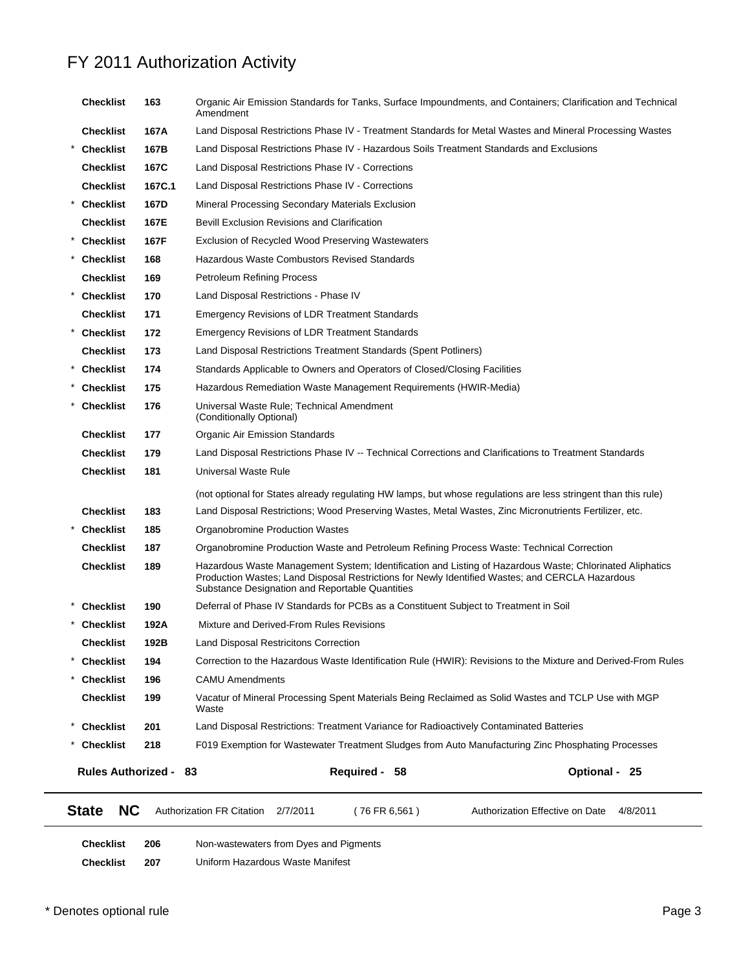| <b>NC</b>             |        |                                                                                                                                                                                                                                                                |               |
|-----------------------|--------|----------------------------------------------------------------------------------------------------------------------------------------------------------------------------------------------------------------------------------------------------------------|---------------|
| Rules Authorized - 83 |        | Required - 58                                                                                                                                                                                                                                                  | Optional - 25 |
| <b>Checklist</b>      | 218    | F019 Exemption for Wastewater Treatment Sludges from Auto Manufacturing Zinc Phosphating Processes                                                                                                                                                             |               |
| <b>Checklist</b>      | 201    | Land Disposal Restrictions: Treatment Variance for Radioactively Contaminated Batteries                                                                                                                                                                        |               |
| <b>Checklist</b>      | 199    | Vacatur of Mineral Processing Spent Materials Being Reclaimed as Solid Wastes and TCLP Use with MGP<br>Waste                                                                                                                                                   |               |
| <b>Checklist</b>      | 196    | <b>CAMU Amendments</b>                                                                                                                                                                                                                                         |               |
| <b>Checklist</b>      | 194    | Correction to the Hazardous Waste Identification Rule (HWIR): Revisions to the Mixture and Derived-From Rules                                                                                                                                                  |               |
| <b>Checklist</b>      | 192B   | Land Disposal Restricitons Correction                                                                                                                                                                                                                          |               |
| <b>Checklist</b>      | 192A   | Mixture and Derived-From Rules Revisions                                                                                                                                                                                                                       |               |
| <b>Checklist</b>      | 190    | Deferral of Phase IV Standards for PCBs as a Constituent Subject to Treatment in Soil                                                                                                                                                                          |               |
| <b>Checklist</b>      | 189    | Hazardous Waste Management System; Identification and Listing of Hazardous Waste; Chlorinated Aliphatics<br>Production Wastes; Land Disposal Restrictions for Newly Identified Wastes; and CERCLA Hazardous<br>Substance Designation and Reportable Quantities |               |
| <b>Checklist</b>      | 187    | Organobromine Production Waste and Petroleum Refining Process Waste: Technical Correction                                                                                                                                                                      |               |
| <b>Checklist</b>      | 185    | Organobromine Production Wastes                                                                                                                                                                                                                                |               |
| <b>Checklist</b>      | 183    | Land Disposal Restrictions; Wood Preserving Wastes, Metal Wastes, Zinc Micronutrients Fertilizer, etc.                                                                                                                                                         |               |
|                       |        | (not optional for States already regulating HW lamps, but whose regulations are less stringent than this rule)                                                                                                                                                 |               |
| <b>Checklist</b>      | 181    | Universal Waste Rule                                                                                                                                                                                                                                           |               |
| <b>Checklist</b>      | 179    | Land Disposal Restrictions Phase IV -- Technical Corrections and Clarifications to Treatment Standards                                                                                                                                                         |               |
| <b>Checklist</b>      | 177    | Organic Air Emission Standards                                                                                                                                                                                                                                 |               |
| <b>Checklist</b>      | 176    | Universal Waste Rule; Technical Amendment<br>(Conditionally Optional)                                                                                                                                                                                          |               |
| <b>Checklist</b>      | 175    | Hazardous Remediation Waste Management Requirements (HWIR-Media)                                                                                                                                                                                               |               |
| <b>Checklist</b>      | 174    | Standards Applicable to Owners and Operators of Closed/Closing Facilities                                                                                                                                                                                      |               |
| <b>Checklist</b>      | 173    | Land Disposal Restrictions Treatment Standards (Spent Potliners)                                                                                                                                                                                               |               |
| Checklist             | 172    | <b>Emergency Revisions of LDR Treatment Standards</b>                                                                                                                                                                                                          |               |
| <b>Checklist</b>      | 171    | <b>Emergency Revisions of LDR Treatment Standards</b>                                                                                                                                                                                                          |               |
| <b>Checklist</b>      | 170    | Land Disposal Restrictions - Phase IV                                                                                                                                                                                                                          |               |
| <b>Checklist</b>      | 169    | <b>Petroleum Refining Process</b>                                                                                                                                                                                                                              |               |
| * Checklist           | 168    | Hazardous Waste Combustors Revised Standards                                                                                                                                                                                                                   |               |
| <b>Checklist</b>      | 167F   | Exclusion of Recycled Wood Preserving Wastewaters                                                                                                                                                                                                              |               |
| <b>Checklist</b>      | 167E   | <b>Bevill Exclusion Revisions and Clarification</b>                                                                                                                                                                                                            |               |
| * Checklist           | 167D   | Mineral Processing Secondary Materials Exclusion                                                                                                                                                                                                               |               |
| <b>Checklist</b>      | 167C.1 | Land Disposal Restrictions Phase IV - Corrections                                                                                                                                                                                                              |               |
| <b>Checklist</b>      | 167C   | Land Disposal Restrictions Phase IV - Corrections                                                                                                                                                                                                              |               |
| <b>Checklist</b>      | 167B   | Land Disposal Restrictions Phase IV - Hazardous Soils Treatment Standards and Exclusions                                                                                                                                                                       |               |
| <b>Checklist</b>      | 167A   | Amendment<br>Land Disposal Restrictions Phase IV - Treatment Standards for Metal Wastes and Mineral Processing Wastes                                                                                                                                          |               |
| <b>Checklist</b>      | 163    | Organic Air Emission Standards for Tanks, Surface Impoundments, and Containers; Clarification and Technical                                                                                                                                                    |               |

| <b>Checklist</b> | 206 | Non-wastewaters from Dyes and Pigments |
|------------------|-----|----------------------------------------|
| <b>Checklist</b> | 207 | Uniform Hazardous Waste Manifest       |